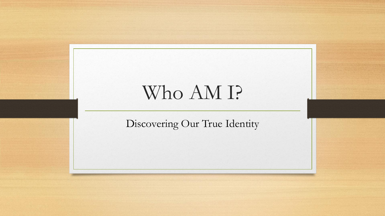# Who AM I?

Discovering Our True Identity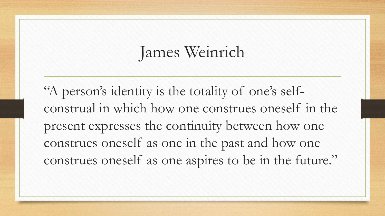# James Weinrich

"A person's identity is the totality of one's selfconstrual in which how one construes oneself in the present expresses the continuity between how one construes oneself as one in the past and how one construes oneself as one aspires to be in the future."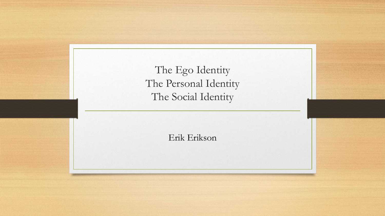| The Ego Identity<br>The Personal Identity<br>The Social Identity |  |
|------------------------------------------------------------------|--|
| Erik Erikson                                                     |  |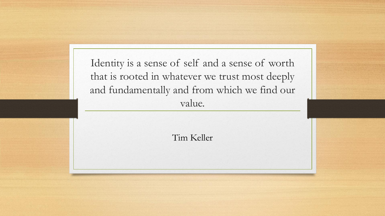Identity is a sense of self and a sense of worth that is rooted in whatever we trust most deeply and fundamentally and from which we find our value.

Tim Keller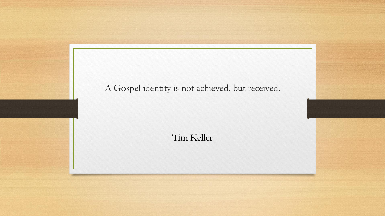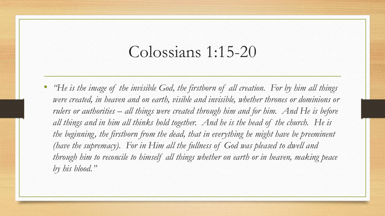#### Colossians 1:15-20

• *"He is the image of the invisible God, the firstborn of all creation. For by him all things*  were created, in heaven and on earth, visible and invisible, whether thrones or dominions or *rulers or authorities – all things were created through him and for him. And He is before all things and in him all thinks hold together. And he is the head of the church. He is the beginning, the firstborn from the dead, that in everything he might have be preeminent (have the supremacy). For in Him all the fullness of God was pleased to dwell and through him to reconcile to himself all things whether on earth or in heaven, making peace by his blood."*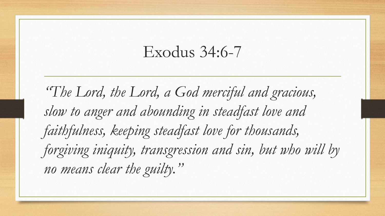#### Exodus 34:6-7

*"The Lord, the Lord, a God merciful and gracious, slow to anger and abounding in steadfast love and faithfulness, keeping steadfast love for thousands, forgiving iniquity, transgression and sin, but who will by no means clear the guilty."*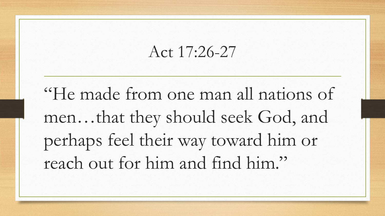## Act 17:26-27

"He made from one man all nations of men…that they should seek God, and perhaps feel their way toward him or reach out for him and find him."